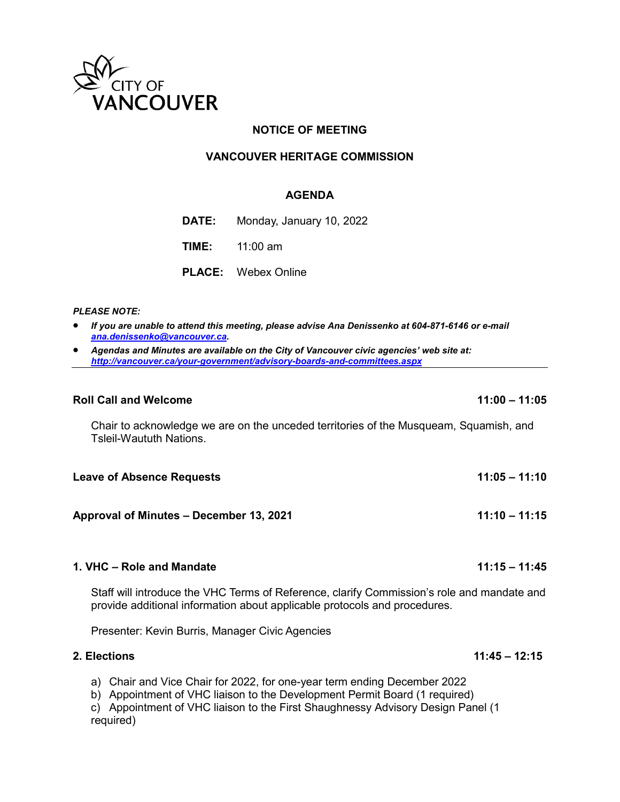

# **NOTICE OF MEETING**

## **VANCOUVER HERITAGE COMMISSION**

## **AGENDA**

**DATE:** Monday, January 10, 2022

**TIME:** 11:00 am

**PLACE:** Webex Online

## *PLEASE NOTE:*

- *If you are unable to attend this meeting, please advise Ana Denissenko at 604-871-6146 or e-mail [ana.denissenko@vancouver.ca.](mailto:ana.denissenko@vancouver.ca)*
- *Agendas and Minutes are available on the City of Vancouver civic agencies' web site at: <http://vancouver.ca/your-government/advisory-boards-and-committees.aspx>*

### **Roll Call and Welcome 11:00 – 11:05**

Chair to acknowledge we are on the unceded territories of the Musqueam, Squamish, and Tsleil-Waututh Nations.

| <b>Leave of Absence Requests</b> | $11:05 - 11:10$ |
|----------------------------------|-----------------|
|                                  |                 |

**Approval of Minutes – December 13, 2021 11:10 – 11:15**

## **1. VHC – Role and Mandate 11:15 – 11:45**

Staff will introduce the VHC Terms of Reference, clarify Commission's role and mandate and provide additional information about applicable protocols and procedures.

Presenter: Kevin Burris, Manager Civic Agencies

## **2. Elections 11:45 – 12:15**

a) Chair and Vice Chair for 2022, for one-year term ending December 2022

b) Appointment of VHC liaison to the Development Permit Board (1 required)

c) Appointment of VHC liaison to the First Shaughnessy Advisory Design Panel (1 required)